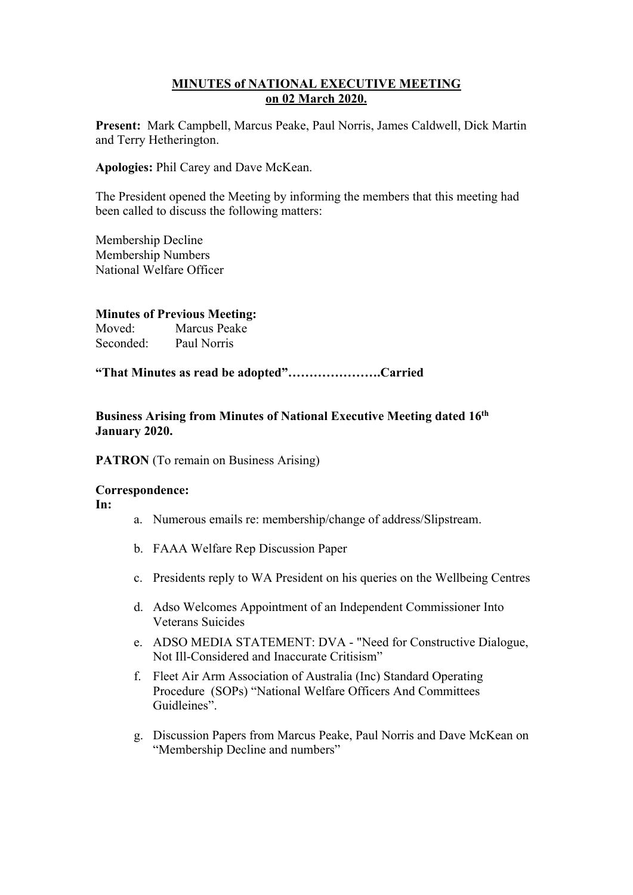## **MINUTES of NATIONAL EXECUTIVE MEETING on 02 March 2020.**

**Present:** Mark Campbell, Marcus Peake, Paul Norris, James Caldwell, Dick Martin and Terry Hetherington.

**Apologies:** Phil Carey and Dave McKean.

The President opened the Meeting by informing the members that this meeting had been called to discuss the following matters:

Membership Decline Membership Numbers National Welfare Officer

## **Minutes of Previous Meeting:**

Moved: Marcus Peake Seconded: Paul Norris

**"That Minutes as read be adopted"………………….Carried**

**Business Arising from Minutes of National Executive Meeting dated 16th January 2020.**

**PATRON** (To remain on Business Arising)

### **Correspondence:**

**In:** 

- a. Numerous emails re: membership/change of address/Slipstream.
- b. FAAA Welfare Rep Discussion Paper
- c. Presidents reply to WA President on his queries on the Wellbeing Centres
- d. Adso Welcomes Appointment of an Independent Commissioner Into Veterans Suicides
- e. ADSO MEDIA STATEMENT: DVA "Need for Constructive Dialogue, Not Ill-Considered and Inaccurate Critisism"
- f. Fleet Air Arm Association of Australia (Inc) Standard Operating Procedure (SOPs) "National Welfare Officers And Committees Guidleines".
- g. Discussion Papers from Marcus Peake, Paul Norris and Dave McKean on "Membership Decline and numbers"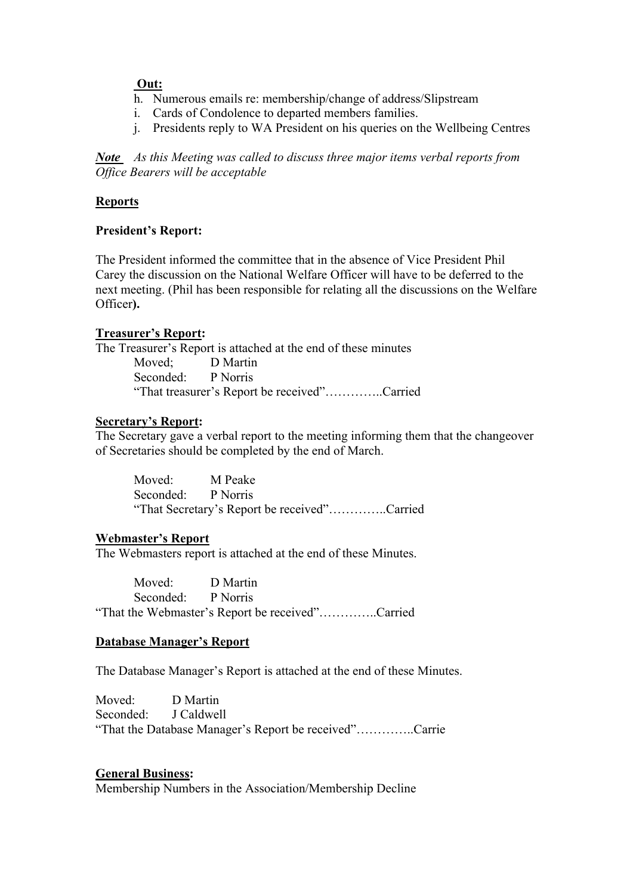## **Out:**

- h. Numerous emails re: membership/change of address/Slipstream
- i. Cards of Condolence to departed members families.
- j. Presidents reply to WA President on his queries on the Wellbeing Centres

*Note As this Meeting was called to discuss three major items verbal reports from Office Bearers will be acceptable* 

## **Reports**

## **President's Report:**

The President informed the committee that in the absence of Vice President Phil Carey the discussion on the National Welfare Officer will have to be deferred to the next meeting. (Phil has been responsible for relating all the discussions on the Welfare Officer**).**

## **Treasurer's Report:**

The Treasurer's Report is attached at the end of these minutes Moved; D Martin Seconded: P Norris "That treasurer's Report be received"…………..Carried

### **Secretary's Report:**

The Secretary gave a verbal report to the meeting informing them that the changeover of Secretaries should be completed by the end of March.

Moved: M Peake Seconded: P Norris "That Secretary's Report be received"…………..Carried

### **Webmaster's Report**

The Webmasters report is attached at the end of these Minutes.

Moved: D Martin Seconded: P Norris "That the Webmaster's Report be received"…………..Carried

### **Database Manager's Report**

The Database Manager's Report is attached at the end of these Minutes.

Moved: D Martin Seconded: J Caldwell "That the Database Manager's Report be received"…………..Carrie

### **General Business:**

Membership Numbers in the Association/Membership Decline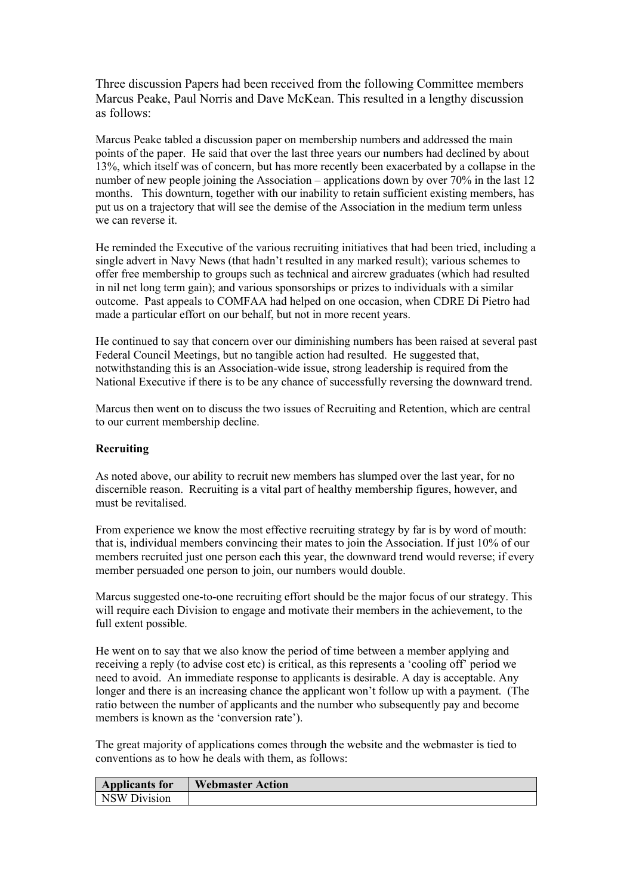Three discussion Papers had been received from the following Committee members Marcus Peake, Paul Norris and Dave McKean. This resulted in a lengthy discussion as follows:

Marcus Peake tabled a discussion paper on membership numbers and addressed the main points of the paper. He said that over the last three years our numbers had declined by about 13%, which itself was of concern, but has more recently been exacerbated by a collapse in the number of new people joining the Association – applications down by over 70% in the last 12 months. This downturn, together with our inability to retain sufficient existing members, has put us on a trajectory that will see the demise of the Association in the medium term unless we can reverse it.

He reminded the Executive of the various recruiting initiatives that had been tried, including a single advert in Navy News (that hadn't resulted in any marked result); various schemes to offer free membership to groups such as technical and aircrew graduates (which had resulted in nil net long term gain); and various sponsorships or prizes to individuals with a similar outcome. Past appeals to COMFAA had helped on one occasion, when CDRE Di Pietro had made a particular effort on our behalf, but not in more recent years.

He continued to say that concern over our diminishing numbers has been raised at several past Federal Council Meetings, but no tangible action had resulted. He suggested that, notwithstanding this is an Association-wide issue, strong leadership is required from the National Executive if there is to be any chance of successfully reversing the downward trend.

Marcus then went on to discuss the two issues of Recruiting and Retention, which are central to our current membership decline.

#### **Recruiting**

As noted above, our ability to recruit new members has slumped over the last year, for no discernible reason. Recruiting is a vital part of healthy membership figures, however, and must be revitalised.

From experience we know the most effective recruiting strategy by far is by word of mouth: that is, individual members convincing their mates to join the Association. If just 10% of our members recruited just one person each this year, the downward trend would reverse; if every member persuaded one person to join, our numbers would double.

Marcus suggested one-to-one recruiting effort should be the major focus of our strategy. This will require each Division to engage and motivate their members in the achievement, to the full extent possible.

He went on to say that we also know the period of time between a member applying and receiving a reply (to advise cost etc) is critical, as this represents a 'cooling off' period we need to avoid. An immediate response to applicants is desirable. A day is acceptable. Any longer and there is an increasing chance the applicant won't follow up with a payment. (The ratio between the number of applicants and the number who subsequently pay and become members is known as the 'conversion rate').

The great majority of applications comes through the website and the webmaster is tied to conventions as to how he deals with them, as follows:

| <b>Applicants for</b> | <b>Webmaster Action</b> |
|-----------------------|-------------------------|
| NSW Division          |                         |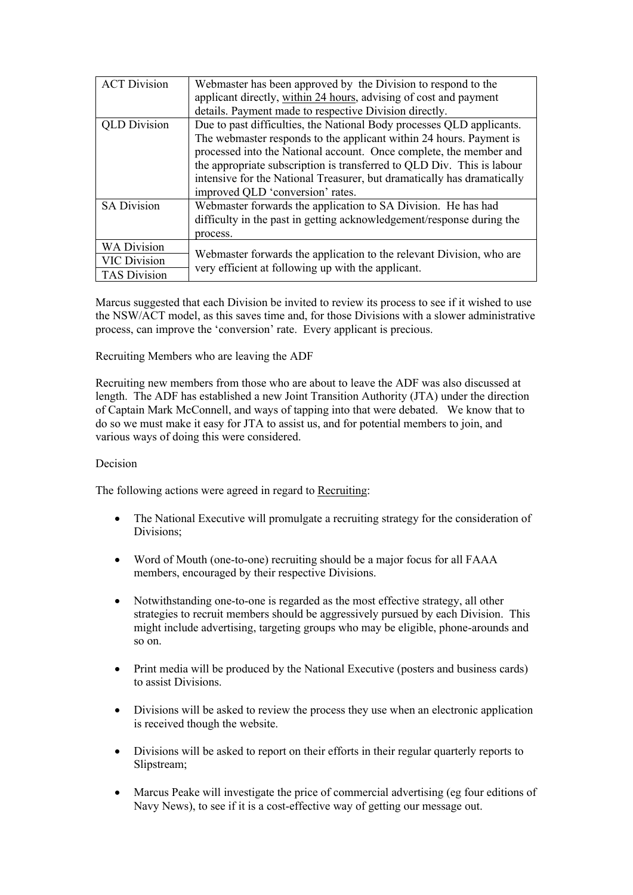| <b>ACT Division</b> | Webmaster has been approved by the Division to respond to the                                                              |  |  |
|---------------------|----------------------------------------------------------------------------------------------------------------------------|--|--|
|                     | applicant directly, within 24 hours, advising of cost and payment                                                          |  |  |
|                     | details. Payment made to respective Division directly.                                                                     |  |  |
| <b>QLD</b> Division | Due to past difficulties, the National Body processes QLD applicants.                                                      |  |  |
|                     | The webmaster responds to the applicant within 24 hours. Payment is                                                        |  |  |
|                     | processed into the National account. Once complete, the member and                                                         |  |  |
|                     | the appropriate subscription is transferred to QLD Div. This is labour                                                     |  |  |
|                     | intensive for the National Treasurer, but dramatically has dramatically                                                    |  |  |
|                     | improved QLD 'conversion' rates.                                                                                           |  |  |
| SA Division         | Webmaster forwards the application to SA Division. He has had                                                              |  |  |
|                     | difficulty in the past in getting acknowledgement/response during the                                                      |  |  |
|                     | process.                                                                                                                   |  |  |
| <b>WA Division</b>  |                                                                                                                            |  |  |
| <b>VIC Division</b> | Webmaster forwards the application to the relevant Division, who are<br>very efficient at following up with the applicant. |  |  |
| <b>TAS Division</b> |                                                                                                                            |  |  |

Marcus suggested that each Division be invited to review its process to see if it wished to use the NSW/ACT model, as this saves time and, for those Divisions with a slower administrative process, can improve the 'conversion' rate. Every applicant is precious.

Recruiting Members who are leaving the ADF

Recruiting new members from those who are about to leave the ADF was also discussed at length. The ADF has established a new Joint Transition Authority (JTA) under the direction of Captain Mark McConnell, and ways of tapping into that were debated. We know that to do so we must make it easy for JTA to assist us, and for potential members to join, and various ways of doing this were considered.

#### Decision

The following actions were agreed in regard to Recruiting:

- The National Executive will promulgate a recruiting strategy for the consideration of Divisions;
- Word of Mouth (one-to-one) recruiting should be a major focus for all FAAA members, encouraged by their respective Divisions.
- Notwithstanding one-to-one is regarded as the most effective strategy, all other strategies to recruit members should be aggressively pursued by each Division. This might include advertising, targeting groups who may be eligible, phone-arounds and so on.
- Print media will be produced by the National Executive (posters and business cards) to assist Divisions.
- Divisions will be asked to review the process they use when an electronic application is received though the website.
- Divisions will be asked to report on their efforts in their regular quarterly reports to Slipstream;
- Marcus Peake will investigate the price of commercial advertising (eg four editions of Navy News), to see if it is a cost-effective way of getting our message out.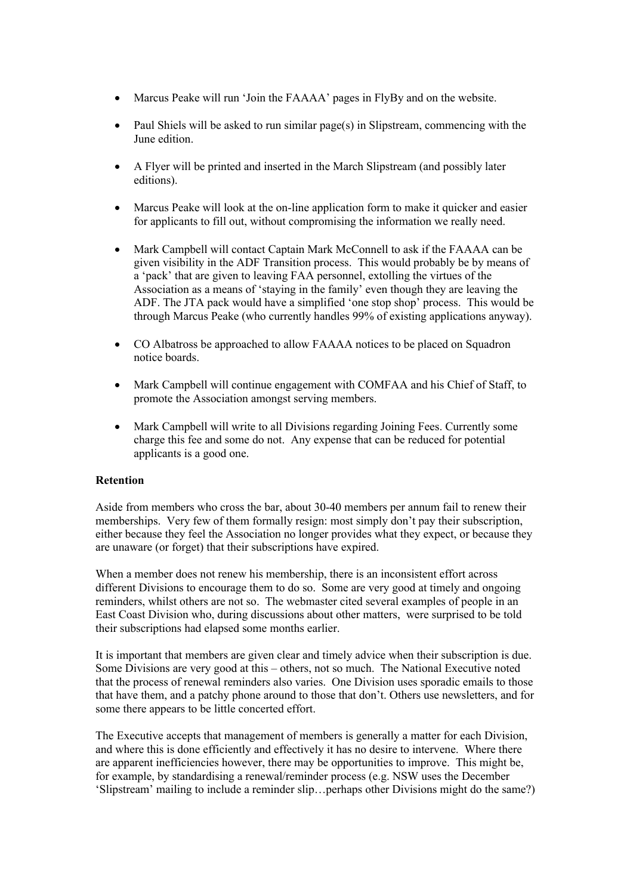- Marcus Peake will run 'Join the FAAAA' pages in FlyBy and on the website.
- Paul Shiels will be asked to run similar page(s) in Slipstream, commencing with the June edition.
- A Flyer will be printed and inserted in the March Slipstream (and possibly later editions).
- Marcus Peake will look at the on-line application form to make it quicker and easier for applicants to fill out, without compromising the information we really need.
- Mark Campbell will contact Captain Mark McConnell to ask if the FAAAA can be given visibility in the ADF Transition process. This would probably be by means of a 'pack' that are given to leaving FAA personnel, extolling the virtues of the Association as a means of 'staying in the family' even though they are leaving the ADF. The JTA pack would have a simplified 'one stop shop' process. This would be through Marcus Peake (who currently handles 99% of existing applications anyway).
- CO Albatross be approached to allow FAAAA notices to be placed on Squadron notice boards.
- Mark Campbell will continue engagement with COMFAA and his Chief of Staff, to promote the Association amongst serving members.
- Mark Campbell will write to all Divisions regarding Joining Fees. Currently some charge this fee and some do not. Any expense that can be reduced for potential applicants is a good one.

#### **Retention**

Aside from members who cross the bar, about 30-40 members per annum fail to renew their memberships. Very few of them formally resign: most simply don't pay their subscription, either because they feel the Association no longer provides what they expect, or because they are unaware (or forget) that their subscriptions have expired.

When a member does not renew his membership, there is an inconsistent effort across different Divisions to encourage them to do so. Some are very good at timely and ongoing reminders, whilst others are not so. The webmaster cited several examples of people in an East Coast Division who, during discussions about other matters, were surprised to be told their subscriptions had elapsed some months earlier.

It is important that members are given clear and timely advice when their subscription is due. Some Divisions are very good at this – others, not so much. The National Executive noted that the process of renewal reminders also varies. One Division uses sporadic emails to those that have them, and a patchy phone around to those that don't. Others use newsletters, and for some there appears to be little concerted effort.

The Executive accepts that management of members is generally a matter for each Division, and where this is done efficiently and effectively it has no desire to intervene. Where there are apparent inefficiencies however, there may be opportunities to improve. This might be, for example, by standardising a renewal/reminder process (e.g. NSW uses the December 'Slipstream' mailing to include a reminder slip…perhaps other Divisions might do the same?)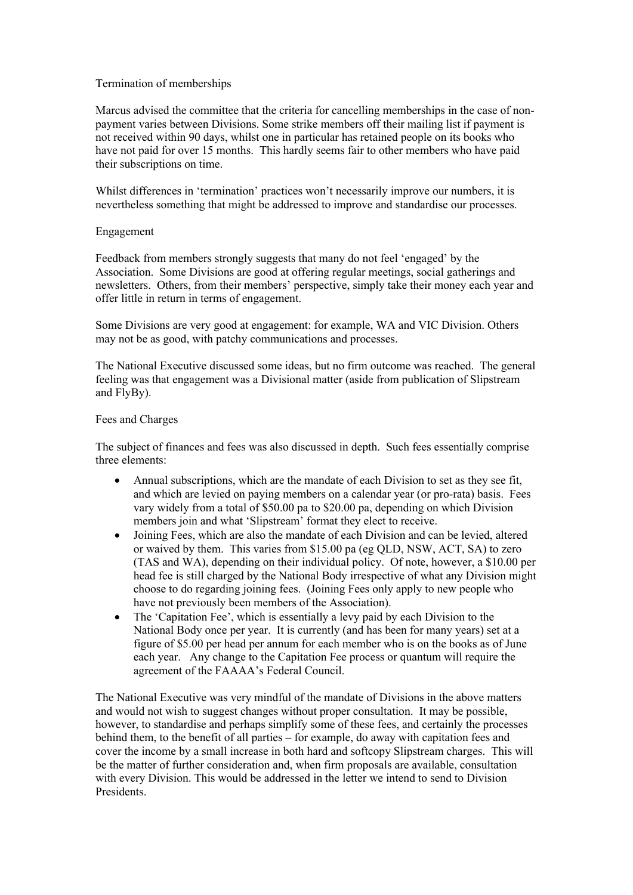#### Termination of memberships

Marcus advised the committee that the criteria for cancelling memberships in the case of nonpayment varies between Divisions. Some strike members off their mailing list if payment is not received within 90 days, whilst one in particular has retained people on its books who have not paid for over 15 months. This hardly seems fair to other members who have paid their subscriptions on time.

Whilst differences in 'termination' practices won't necessarily improve our numbers, it is nevertheless something that might be addressed to improve and standardise our processes.

#### Engagement

Feedback from members strongly suggests that many do not feel 'engaged' by the Association. Some Divisions are good at offering regular meetings, social gatherings and newsletters. Others, from their members' perspective, simply take their money each year and offer little in return in terms of engagement.

Some Divisions are very good at engagement: for example, WA and VIC Division. Others may not be as good, with patchy communications and processes.

The National Executive discussed some ideas, but no firm outcome was reached. The general feeling was that engagement was a Divisional matter (aside from publication of Slipstream and FlyBy).

#### Fees and Charges

The subject of finances and fees was also discussed in depth. Such fees essentially comprise three elements:

- Annual subscriptions, which are the mandate of each Division to set as they see fit, and which are levied on paying members on a calendar year (or pro-rata) basis. Fees vary widely from a total of \$50.00 pa to \$20.00 pa, depending on which Division members join and what 'Slipstream' format they elect to receive.
- Joining Fees, which are also the mandate of each Division and can be levied, altered or waived by them. This varies from \$15.00 pa (eg QLD, NSW, ACT, SA) to zero (TAS and WA), depending on their individual policy. Of note, however, a \$10.00 per head fee is still charged by the National Body irrespective of what any Division might choose to do regarding joining fees. (Joining Fees only apply to new people who have not previously been members of the Association).
- The 'Capitation Fee', which is essentially a levy paid by each Division to the National Body once per year. It is currently (and has been for many years) set at a figure of \$5.00 per head per annum for each member who is on the books as of June each year. Any change to the Capitation Fee process or quantum will require the agreement of the FAAAA's Federal Council.

The National Executive was very mindful of the mandate of Divisions in the above matters and would not wish to suggest changes without proper consultation. It may be possible, however, to standardise and perhaps simplify some of these fees, and certainly the processes behind them, to the benefit of all parties – for example, do away with capitation fees and cover the income by a small increase in both hard and softcopy Slipstream charges. This will be the matter of further consideration and, when firm proposals are available, consultation with every Division. This would be addressed in the letter we intend to send to Division Presidents.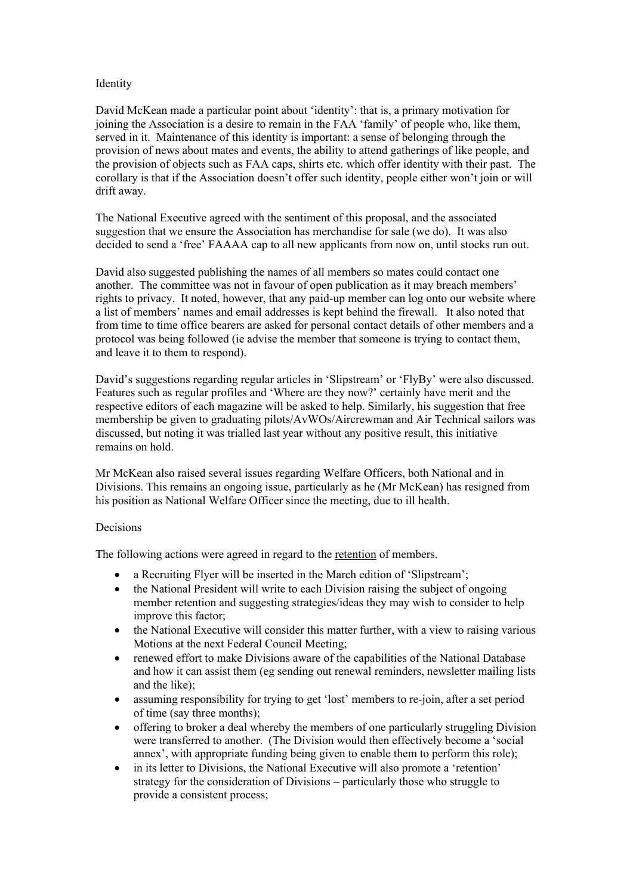#### Identity

David McKean made a particular point about 'identity': that is, a primary motivation for joining the Association is a desire to remain in the FAA 'family' of people who, like them, served in it. Maintenance of this identity is important: a sense of belonging through the provision of news about mates and events, the ability to attend gatherings of like people, and the provision of objects such as FAA caps, shirts etc. which offer identity with their past. The corollary is that if the Association doesn't offer such identity, people either won't join or will drift away.

The National Executive agreed with the sentiment of this proposal, and the associated suggestion that we ensure the Association has merchandise for sale (we do). It was also decided to send a 'free' FAAAA cap to all new applicants from now on, until stocks run out.

David also suggested publishing the names of all members so mates could contact one another. The committee was not in favour of open publication as it may breach members' rights to privacy. It noted, however, that any paid-up member can log onto our website where a list of members' names and email addresses is kept behind the firewall. It also noted that from time to time office bearers are asked for personal contact details of other members and a protocol was being followed (ie advise the member that someone is trying to contact them, and leave it to them to respond).

David's suggestions regarding regular articles in 'Slipstream' or 'FlyBy' were also discussed. Features such as regular profiles and 'Where are they now?' certainly have merit and the respective editors of each magazine will be asked to help. Similarly, his suggestion that free membership be given to graduating pilots/AvWOs/Aircrewman and Air Technical sailors was discussed, but noting it was trialled last year without any positive result, this initiative remains on hold.

Mr McKean also raised several issues regarding Welfare Officers, both National and in Divisions. This remains an ongoing issue, particularly as he (Mr McKean) has resigned from his position as National Welfare Officer since the meeting, due to ill health.

#### Decisions

The following actions were agreed in regard to the retention of members.

- a Recruiting Flyer will be inserted in the March edition of 'Slipstream';
- the National President will write to each Division raising the subject of ongoing member retention and suggesting strategies/ideas they may wish to consider to help improve this factor;
- the National Executive will consider this matter further, with a view to raising various Motions at the next Federal Council Meeting;
- renewed effort to make Divisions aware of the capabilities of the National Database and how it can assist them (eg sending out renewal reminders, newsletter mailing lists and the like);
- assuming responsibility for trying to get 'lost' members to re-join, after a set period of time (say three months);
- offering to broker a deal whereby the members of one particularly struggling Division were transferred to another. (The Division would then effectively become a 'social annex', with appropriate funding being given to enable them to perform this role);
- in its letter to Divisions, the National Executive will also promote a 'retention' strategy for the consideration of Divisions – particularly those who struggle to provide a consistent process;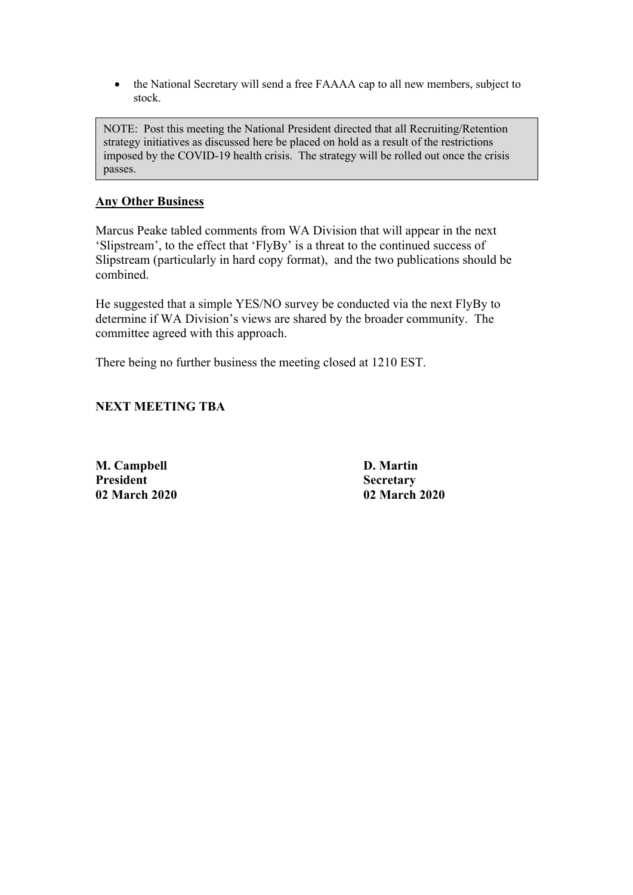• the National Secretary will send a free FAAAA cap to all new members, subject to stock.

NOTE: Post this meeting the National President directed that all Recruiting/Retention strategy initiatives as discussed here be placed on hold as a result of the restrictions imposed by the COVID-19 health crisis. The strategy will be rolled out once the crisis passes.

### **Any Other Business**

Marcus Peake tabled comments from WA Division that will appear in the next 'Slipstream', to the effect that 'FlyBy' is a threat to the continued success of Slipstream (particularly in hard copy format), and the two publications should be combined.

He suggested that a simple YES/NO survey be conducted via the next FlyBy to determine if WA Division's views are shared by the broader community. The committee agreed with this approach.

There being no further business the meeting closed at 1210 EST.

## **NEXT MEETING TBA**

**M. Campbell D. Martin President Secretary**

**02 March 2020 02 March 2020**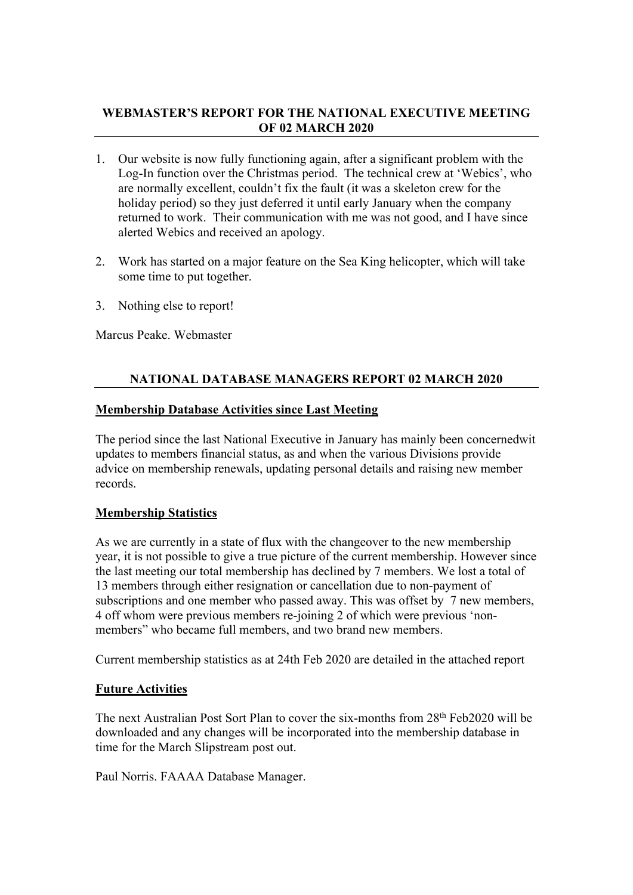# **WEBMASTER'S REPORT FOR THE NATIONAL EXECUTIVE MEETING OF 02 MARCH 2020**

- 1. Our website is now fully functioning again, after a significant problem with the Log-In function over the Christmas period. The technical crew at 'Webics', who are normally excellent, couldn't fix the fault (it was a skeleton crew for the holiday period) so they just deferred it until early January when the company returned to work. Their communication with me was not good, and I have since alerted Webics and received an apology.
- 2. Work has started on a major feature on the Sea King helicopter, which will take some time to put together.
- 3. Nothing else to report!

Marcus Peake. Webmaster

# **NATIONAL DATABASE MANAGERS REPORT 02 MARCH 2020**

## **Membership Database Activities since Last Meeting**

The period since the last National Executive in January has mainly been concernedwit updates to members financial status, as and when the various Divisions provide advice on membership renewals, updating personal details and raising new member records.

## **Membership Statistics**

As we are currently in a state of flux with the changeover to the new membership year, it is not possible to give a true picture of the current membership. However since the last meeting our total membership has declined by 7 members. We lost a total of 13 members through either resignation or cancellation due to non-payment of subscriptions and one member who passed away. This was offset by 7 new members, 4 off whom were previous members re-joining 2 of which were previous 'nonmembers" who became full members, and two brand new members.

Current membership statistics as at 24th Feb 2020 are detailed in the attached report

### **Future Activities**

The next Australian Post Sort Plan to cover the six-months from 28<sup>th</sup> Feb2020 will be downloaded and any changes will be incorporated into the membership database in time for the March Slipstream post out.

Paul Norris. FAAAA Database Manager.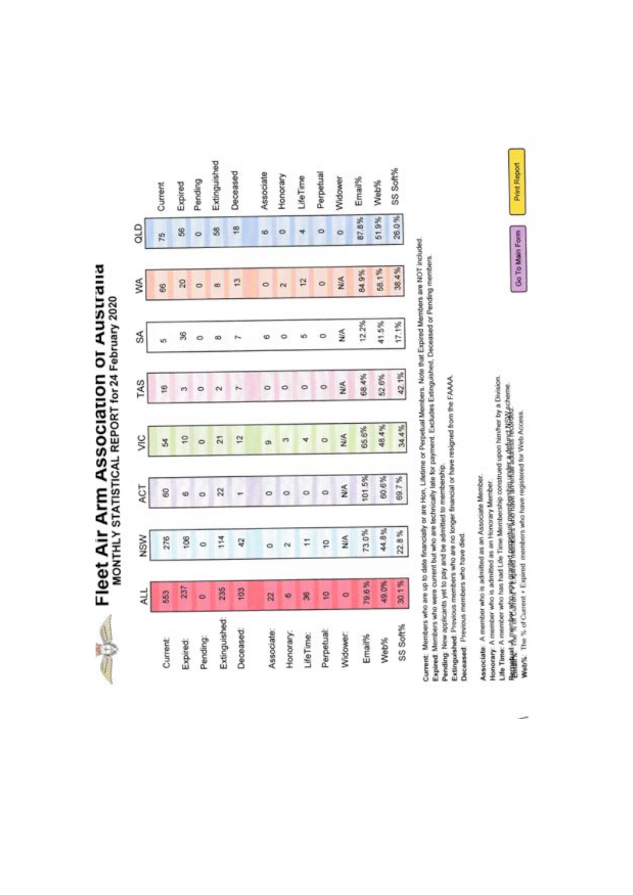**Elect Air Arm Association or Australia**<br>MONTHLY STATISTICAL REPORT for 24 February 2020

|               | 쉐         | NSW     | ACT     | š     | TAS   | Z     | УÃ                        | QLD     |              |
|---------------|-----------|---------|---------|-------|-------|-------|---------------------------|---------|--------------|
| Current       | 563       | 276     | 8       | Z     | 16    |       | 8                         | 75      | Current      |
| Expired:      | 237       | 8       | ø       | P     | e9    | R     | 20                        | \$      | Expired      |
| Pending:      | ö         | $\circ$ |         |       |       |       |                           | 0       | Pending      |
| Extinguished: | 235       | 114     | 22      | 21    |       | œ     | $\overline{\mathfrak{a}}$ | 3       | Extinguished |
| Deceased:     | ę.        | 42      |         | 12    |       |       | P                         | 18      | Deceased     |
| Associate     | R         | $\circ$ | $\circ$ | ä     |       | ł٥    | $\circ$                   | 6       | Associate    |
| Honorary      | GB)       | e       | ۰       |       |       |       |                           |         | Honorary     |
| MeTime:       |           | F       | $\circ$ |       |       | ωó    | 뎦                         |         | LifeTime     |
| Perpetual     | g         | ö       | o       |       |       |       |                           |         | Perpetua     |
| Widower.      | $\bullet$ | NIA     | ž       | S     | 兰     | 兰     | NIA                       | $\circ$ | Widower      |
| Email%        | 796%      | 73.0%   | 101.5%  | 65.6% | 68.4% | 12.2% | 84.9%                     | 87.8%   | Email%       |
| Web%          | 49.0%     | 44.8%   | 60.6%   | 48.4% | 52.6% | 41.5% | 58.1%                     | 51.9%   | Web%         |
| SS Soft%      | 30.1%     | 22.8%   | 89.7%   | 34.4% | 42.1% | 17.1% | 38.4%                     | 26.0%   | SS Soft%     |

Current: Members who are up to date financially or are Hon, Lifetime or Perpetual Members. Note that Expired Members are NOT included.<br>Expired: Members who were current but who are technically tate for payment. Excludes Ex

Pending New applicants yet to pay and be admitted to membership.

Extingulated Previous members who are no longer financial or have resigned from the FAAAA. Deceased: Previous members who have died.

Life Time: A member who has had Life Time Membership construed upon himher by a Division. Because Autre and Accounts and Conservation and Conservation and Conservation and Conserva-Associate: A member who is admitted as an Associate Member. Honorary: A member who is admitted as an Honorary Member.

Web%: The % of Current + Expired members who have registered for Web Access.